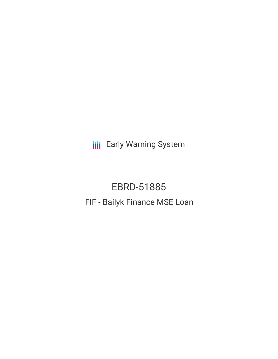**III** Early Warning System

EBRD-51885 FIF - Bailyk Finance MSE Loan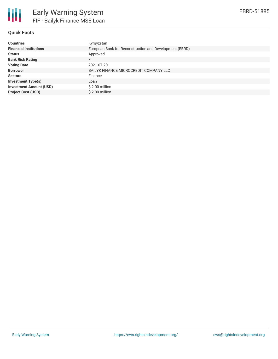

# **Quick Facts**

| <b>Countries</b>               | Kyrgyzstan                                              |
|--------------------------------|---------------------------------------------------------|
| <b>Financial Institutions</b>  | European Bank for Reconstruction and Development (EBRD) |
| <b>Status</b>                  | Approved                                                |
| <b>Bank Risk Rating</b>        | FI                                                      |
| <b>Voting Date</b>             | 2021-07-20                                              |
| <b>Borrower</b>                | BAILYK FINANCE MICROCREDIT COMPANY LLC                  |
| <b>Sectors</b>                 | Finance                                                 |
| <b>Investment Type(s)</b>      | Loan                                                    |
| <b>Investment Amount (USD)</b> | $$2.00$ million                                         |
| <b>Project Cost (USD)</b>      | \$2.00 million                                          |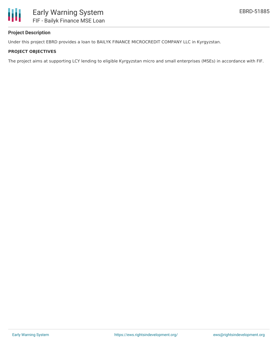

# **Project Description**

Under this project EBRD provides a loan to BAILYK FINANCE MICROCREDIT COMPANY LLC in Kyrgyzstan.

## **PROJECT OBJECTIVES**

The project aims at supporting LCY lending to eligible Kyrgyzstan micro and small enterprises (MSEs) in accordance with FIF.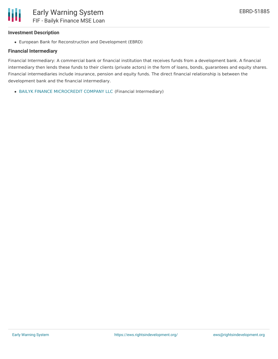

## **Investment Description**

European Bank for Reconstruction and Development (EBRD)

## **Financial Intermediary**

Financial Intermediary: A commercial bank or financial institution that receives funds from a development bank. A financial intermediary then lends these funds to their clients (private actors) in the form of loans, bonds, guarantees and equity shares. Financial intermediaries include insurance, pension and equity funds. The direct financial relationship is between the development bank and the financial intermediary.

BAILYK FINANCE [MICROCREDIT](file:///actor/5784/) COMPANY LLC (Financial Intermediary)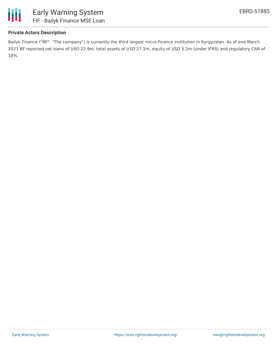

# **Private Actors Description**

Bailyk Finance ("BF", "The company") is currently the third largest micro-finance institution in Kyrgyzstan. As of end-March 2021 BF reported net loans of USD 22.9m, total assets of USD 27.1m, equity of USD 5.2m (under IFRS) and regulatory CAR of 18%.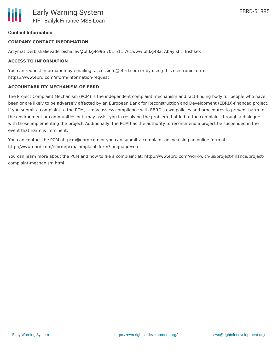## **Contact Information**

## **COMPANY CONTACT INFORMATION**

Arzymat Derbishalievaderbishaliev@bf.kg+996 701 511 761www.bf.kg48a, Abay str., Bishkek

#### **ACCESS TO INFORMATION**

You can request information by emailing: accessinfo@ebrd.com or by using this electronic form: https://www.ebrd.com/eform/information-request

#### **ACCOUNTABILITY MECHANISM OF EBRD**

The Project Complaint Mechanism (PCM) is the independent complaint mechanism and fact-finding body for people who have been or are likely to be adversely affected by an European Bank for Reconstruction and Development (EBRD)-financed project. If you submit a complaint to the PCM, it may assess compliance with EBRD's own policies and procedures to prevent harm to the environment or communities or it may assist you in resolving the problem that led to the complaint through a dialogue with those implementing the project. Additionally, the PCM has the authority to recommend a project be suspended in the event that harm is imminent.

You can contact the PCM at: pcm@ebrd.com or you can submit a complaint online using an online form at: http://www.ebrd.com/eform/pcm/complaint\_form?language=en

You can learn more about the PCM and how to file a complaint at: http://www.ebrd.com/work-with-us/project-finance/projectcomplaint-mechanism.html